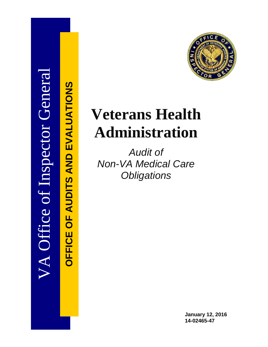

**OFFICE OF AUDITS AND EVALUATIONS**

*OFFICE OF AUDITS AND EVALUATIONS* 

# **Veterans Health Administration**

*Audit of Non-VA Medical Care Obligations* 

> **January 12, 2016 14-02465-47**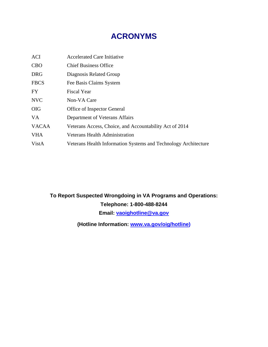# **ACRONYMS**

| <b>ACI</b>   | <b>Accelerated Care Initiative</b>                              |
|--------------|-----------------------------------------------------------------|
| <b>CBO</b>   | <b>Chief Business Office</b>                                    |
| <b>DRG</b>   | Diagnosis Related Group                                         |
| <b>FBCS</b>  | Fee Basis Claims System                                         |
| <b>FY</b>    | Fiscal Year                                                     |
| <b>NVC</b>   | Non-VA Care                                                     |
| <b>OIG</b>   | Office of Inspector General                                     |
| <b>VA</b>    | Department of Veterans Affairs                                  |
| <b>VACAA</b> | Veterans Access, Choice, and Accountability Act of 2014         |
| <b>VHA</b>   | <b>Veterans Health Administration</b>                           |
| VistA        | Veterans Health Information Systems and Technology Architecture |

# **To Report Suspected Wrongdoing in VA Programs and Operations: Telephone: 1-800-488-8244 Email: [vaoighotline@va.gov](mailto:vaoighotline@va.gov)**

**(Hotline Information: [www.va.gov/oig/hotline\)](http://www.va.gov/oig/hotline)**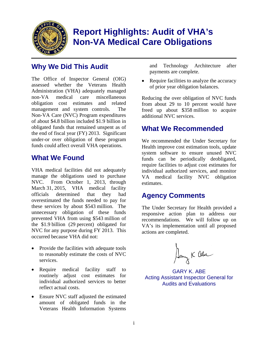

# **Report Highlights: Audit of VHA's Non-VA Medical Care Obligations**

# **Why We Did This Audit**

The Office of Inspector General (OIG) assessed whether the Veterans Health Administration (VHA) adequately managed non-VA medical care miscellaneous obligation cost estimates and related management and system controls. The Non-VA Care (NVC) Program expenditures of about \$4.8 billion included \$1.9 billion in obligated funds that remained unspent as of the end of fiscal year (FY) 2013. Significant under-or over obligation of these program funds could affect overall VHA operations.

# **What We Found**

VHA medical facilities did not adequately manage the obligations used to purchase NVC. From October 1, 2013, through March 31, 2015, VHA medical facility officials determined that they had overestimated the funds needed to pay for these services by about \$543 million. The unnecessary obligation of these funds prevented VHA from using \$543 million of the \$1.9 billion (29 percent) obligated for NVC for any purpose during FY 2013. This occurred because VHA did not:

- Provide the facilities with adequate tools to reasonably estimate the costs of NVC services.
- Require medical facility staff to routinely adjust cost estimates for individual authorized services to better reflect actual costs.
- Ensure NVC staff adjusted the estimated amount of obligated funds in the Veterans Health Information Systems

and Technology Architecture after payments are complete.

 Require facilities to analyze the accuracy of prior year obligation balances.

Reducing the over obligation of NVC funds from about 29 to 10 percent would have freed up about \$358 million to acquire additional NVC services.

# **What We Recommended**

We recommended the Under Secretary for Health improve cost estimation tools, update system software to ensure unused NVC funds can be periodically deobligated, require facilities to adjust cost estimates for individual authorized services, and monitor VA medical facility NVC obligation estimates.

# **Agency Comments**

The Under Secretary for Health provided a responsive action plan to address our recommendations. We will follow up on VA's its implementation until all proposed actions are completed.

Dang K abe

GARY K. ABE Acting Assistant Inspector General for Audits and Evaluations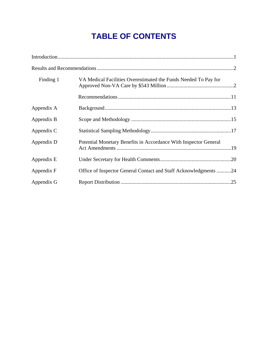# **TABLE OF CONTENTS**

| Finding 1  | VA Medical Facilities Overestimated the Funds Needed To Pay for  |  |
|------------|------------------------------------------------------------------|--|
|            |                                                                  |  |
| Appendix A |                                                                  |  |
| Appendix B |                                                                  |  |
| Appendix C |                                                                  |  |
| Appendix D | Potential Monetary Benefits in Accordance With Inspector General |  |
| Appendix E |                                                                  |  |
| Appendix F | Office of Inspector General Contact and Staff Acknowledgments 24 |  |
| Appendix G |                                                                  |  |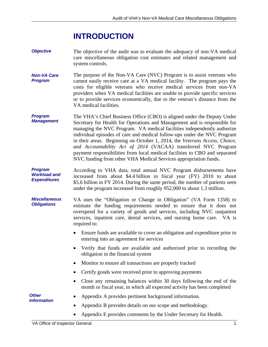# **INTRODUCTION**

- <span id="page-4-0"></span>*Objective*  The objective of the audit was to evaluate the adequacy of non-VA medical care miscellaneous obligation cost estimates and related management and system controls.
- *Non-VA Care Program*  The purpose of the Non-VA Care (NVC) Program is to assist veterans who cannot easily receive care at a VA medical facility. The program pays the costs for eligible veterans who receive medical services from non-VA providers when VA medical facilities are unable to provide specific services or to provide services economically, due to the veteran's distance from the VA medical facilities.
- *Program Management*  The VHA's Chief Business Office (CBO) is aligned under the Deputy Under Secretary for Health for Operations and Management and is responsible for managing the NVC Program. VA medical facilities independently authorize individual episodes of care and medical follow-ups under the NVC Program in their areas. Beginning on October 1, 2014, the *Veterans Access, Choice, and Accountability Act of 2014* (VACAA) transferred NVC Program payment responsibilities from local medical facilities to CBO and separated NVC funding from other VHA Medical Services appropriation funds.
- *Program Workload and Expenditures*  According to VHA data, total annual NVC Program disbursements have increased from about \$4.4 billion in fiscal year (FY) 2010 to about \$5.6 billion in FY 2014. During the same period, the number of patients seen under the program increased from roughly 952,000 to about 1.3 million.
- *Miscellaneous Obligations*  VA uses the "Obligation or Change in Obligation" (VA Form 1358) to estimate the funding requirements needed to ensure that it does not overspend for a variety of goods and services, including NVC outpatient services, inpatient care, dental services, and nursing home care. VA is required to:
	- Ensure funds are available to cover an obligation and expenditure prior to entering into an agreement for services
	- Verify that funds are available and authorized prior to recording the obligation in the financial system
	- Monitor to ensure all transactions are properly tracked
	- Certify goods were received prior to approving payments
	- Close any remaining balances within 30 days following the end of the month or fiscal year, in which all expected activity has been completed

*Other Information* 

- Appendix A provides pertinent background information.
- Appendix B provides details on our scope and methodology.
- Appendix E provides comments by the Under Secretary for Health.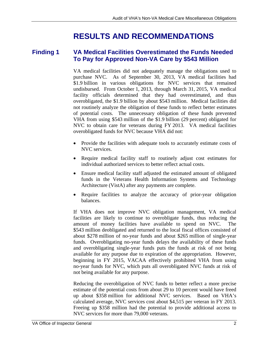# **RESULTS AND RECOMMENDATIONS**

### <span id="page-5-0"></span>**Finding 1 VA Medical Facilities Overestimated the Funds Needed To Pay for Approved Non-VA Care by \$543 Million**

VA medical facilities did not adequately manage the obligations used to purchase NVC. As of September 30, 2013, VA medical facilities had \$1.9 billion in various obligations for NVC services that remained undisbursed. From October 1, 2013, through March 31, 2015, VA medical facility officials determined that they had overestimated, and thus overobligated, the \$1.9 billion by about \$543 million. Medical facilities did not routinely analyze the obligation of these funds to reflect better estimates of potential costs. The unnecessary obligation of these funds prevented VHA from using \$543 million of the \$1.9 billion (29 percent) obligated for NVC to obtain care for veterans during FY 2013. VA medical facilities overobligated funds for NVC because VHA did not:

- Provide the facilities with adequate tools to accurately estimate costs of NVC services.
- Require medical facility staff to routinely adjust cost estimates for individual authorized services to better reflect actual costs.
- Ensure medical facility staff adjusted the estimated amount of obligated funds in the Veterans Health Information Systems and Technology Architecture (VistA) after any payments are complete.
- Require facilities to analyze the accuracy of prior-year obligation balances.

If VHA does not improve NVC obligation management, VA medical facilities are likely to continue to overobligate funds, thus reducing the amount of money facilities have available to spend on NVC. The \$543 million deobligated and returned to the local fiscal offices consisted of about \$278 million of no-year funds and about \$265 million of single-year funds. Overobligating no-year funds delays the availability of these funds and overobligating single-year funds puts the funds at risk of not being available for any purpose due to expiration of the appropriation. However, beginning in FY 2015, VACAA effectively prohibited VHA from using no-year funds for NVC, which puts all overobligated NVC funds at risk of not being available for any purpose.

Reducing the overobligation of NVC funds to better reflect a more precise estimate of the potential costs from about 29 to 10 percent would have freed up about \$358 million for additional NVC services. Based on VHA's calculated average, NVC services cost about \$4,515 per veteran in FY 2013. Freeing up \$358 million had the potential to provide additional access to NVC services for more than 79,000 veterans.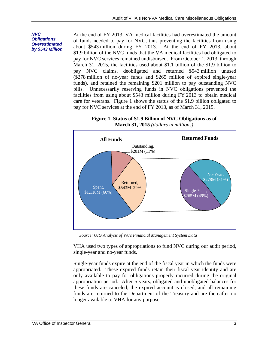#### *NVC Obligations Overestimated by \$543 Million*

At the end of FY 2013, VA medical facilities had overestimated the amount of funds needed to pay for NVC, thus preventing the facilities from using about \$543 million during FY 2013. At the end of FY 2013, about \$1.9 billion of the NVC funds that the VA medical facilities had obligated to pay for NVC services remained undisbursed. From October 1, 2013, through March 31, 2015, the facilities used about \$1.1 billion of the \$1.9 billion to pay NVC claims, deobligated and returned \$543 million unused (\$278 million of no-year funds and \$265 million of expired single-year funds), and retained the remaining \$201 million to pay outstanding NVC bills. Unnecessarily reserving funds in NVC obligations prevented the facilities from using about \$543 million during FY 2013 to obtain medical care for veterans. Figure 1 shows the status of the \$1.9 billion obligated to pay for NVC services at the end of FY 2013, as of March 31, 2015.

**Figure 1. Status of \$1.9 Billion of NVC Obligations as of March 31, 2015** *(dollars in millions)*



*Source: OIG Analysis of VA's Financial Management System Data* 

VHA used two types of appropriations to fund NVC during our audit period, single-year and no-year funds.

Single-year funds expire at the end of the fiscal year in which the funds were appropriated. These expired funds retain their fiscal year identity and are only available to pay for obligations properly incurred during the original appropriation period. After 5 years, obligated and unobligated balances for these funds are canceled, the expired account is closed, and all remaining funds are returned to the Department of the Treasury and are thereafter no longer available to VHA for any purpose.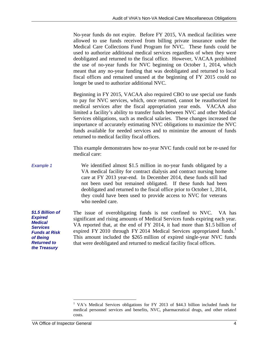No-year funds do not expire. Before FY 2015, VA medical facilities were allowed to use funds received from billing private insurance under the Medical Care Collections Fund Program for NVC. These funds could be used to authorize additional medical services regardless of when they were deobligated and returned to the fiscal office. However, VACAA prohibited the use of no-year funds for NVC beginning on October 1, 2014, which meant that any no-year funding that was deobligated and returned to local fiscal offices and remained unused at the beginning of FY 2015 could no longer be used to authorize additional NVC.

Beginning in FY 2015, VACAA also required CBO to use special use funds to pay for NVC services, which, once returned, cannot be reauthorized for medical services after the fiscal appropriation year ends. VACAA also limited a facility's ability to transfer funds between NVC and other Medical Services obligations, such as medical salaries. These changes increased the importance of accurately estimating NVC obligations to maximize the NVC funds available for needed services and to minimize the amount of funds returned to medical facility fiscal offices.

This example demonstrates how no-year NVC funds could not be re-used for medical care:

*Example 1*  We identified almost \$1.5 million in no-year funds obligated by a VA medical facility for contract dialysis and contract nursing home care at FY 2013 year-end. In December 2014, these funds still had not been used but remained obligated. If these funds had been deobligated and returned to the fiscal office prior to October 1, 2014, they could have been used to provide access to NVC for veterans who needed care.

*\$1.5 Billion of Expired Medical Services Funds at Risk of Being Returned to the Treasury*  The issue of overobligating funds is not confined to NVC. VA has significant and rising amounts of Medical Services funds expiring each year. VA reported that, at the end of FY 2014, it had more than \$1.5 billion of expired FY 2010 through FY 2014 Medical Services appropriated funds.<sup>1</sup> This amount included the \$265 million of expired single-year NVC funds that were deobligated and returned to medical facility fiscal offices.

 $\overline{a}$ 

<sup>1</sup> VA's Medical Services obligations for FY 2013 of \$44.3 billion included funds for medical personnel services and benefits, NVC, pharmaceutical drugs, and other related costs.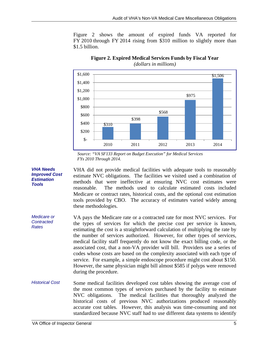Figure 2 shows the amount of expired funds VA reported for FY 2010 through FY 2014 rising from \$310 million to slightly more than \$1.5 billion.



#### **Figure 2. Expired Medical Services Funds by Fiscal Year**  *(dollars in millions)*

*Source: "VA SF133 Report on Budget Execution" for Medical Services FYs 2010 Through 2014.* 

VHA did not provide medical facilities with adequate tools to reasonably estimate NVC obligations. The facilities we visited used a combination of methods that were ineffective at ensuring NVC cost estimates were reasonable. The methods used to calculate estimated costs included Medicare or contract rates, historical costs, and the optional cost estimation tools provided by CBO. The accuracy of estimates varied widely among these methodologies.

*Medicare or Contracted Rates*  VA pays the Medicare rate or a contracted rate for most NVC services. For the types of services for which the precise cost per service is known, estimating the cost is a straightforward calculation of multiplying the rate by the number of services authorized. However, for other types of services, medical facility staff frequently do not know the exact billing code, or the associated cost, that a non-VA provider will bill. Providers use a series of codes whose costs are based on the complexity associated with each type of service. For example, a simple endoscope procedure might cost about \$150. However, the same physician might bill almost \$585 if polyps were removed during the procedure.

*Historical Cost*  Some medical facilities developed cost tables showing the average cost of the most common types of services purchased by the facility to estimate NVC obligations. The medical facilities that thoroughly analyzed the historical costs of previous NVC authorizations produced reasonably accurate cost tables. However, this analysis was time-consuming and not standardized because NVC staff had to use different data systems to identify

*VHA Needs Improved Cost Estimation Tools*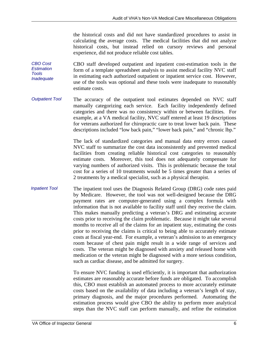the historical costs and did not have standardized procedures to assist in calculating the average costs. The medical facilities that did not analyze historical costs, but instead relied on cursory reviews and personal experience, did not produce reliable cost tables.

*CBO Cost Estimation Tools Inadequate*  CBO staff developed outpatient and inpatient cost-estimation tools in the form of a template spreadsheet analysis to assist medical facility NVC staff in estimating each authorized outpatient or inpatient service cost. However, use of the tools was optional and these tools were inadequate to reasonably estimate costs.

*Outpatient Tool*  The accuracy of the outpatient tool estimates depended on NVC staff manually categorizing each service. Each facility independently defined categories and there was no consistency within or between facilities. For example, at a VA medical facility, NVC staff entered at least 19 descriptions for veterans authorized for chiropractic care to treat lower back pain. These descriptions included "low back pain," "lower back pain," and "chronic lbp."

> The lack of standardized categories and manual data entry errors caused NVC staff to summarize the cost data inconsistently and prevented medical facilities from creating reliable historical cost categories to reasonably estimate costs. Moreover, this tool does not adequately compensate for varying numbers of authorized visits. This is problematic because the total cost for a series of 10 treatments would be 5 times greater than a series of 2 treatments by a medical specialist, such as a physical therapist.

*Inpatient Tool*  The inpatient tool uses the Diagnosis Related Group (DRG) code rates paid by Medicare. However, the tool was not well-designed because the DRG payment rates are computer-generated using a complex formula with information that is not available to facility staff until they receive the claim. This makes manually predicting a veteran's DRG and estimating accurate costs prior to receiving the claim problematic. Because it might take several months to receive all of the claims for an inpatient stay, estimating the costs prior to receiving the claims is critical to being able to accurately estimate costs at fiscal year-end. For example, a veteran's admission to an emergency room because of chest pain might result in a wide range of services and costs. The veteran might be diagnosed with anxiety and released home with medication or the veteran might be diagnosed with a more serious condition, such as cardiac disease, and be admitted for surgery.

> To ensure NVC funding is used efficiently, it is important that authorization estimates are reasonably accurate before funds are obligated. To accomplish this, CBO must establish an automated process to more accurately estimate costs based on the availability of data including a veteran's length of stay, primary diagnosis, and the major procedures performed. Automating the estimation process would give CBO the ability to perform more analytical steps than the NVC staff can perform manually, and refine the estimation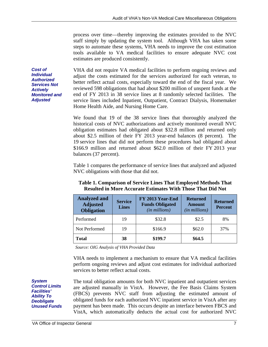process over time—thereby improving the estimates provided to the NVC staff simply by updating the system tool. Although VHA has taken some steps to automate these systems, VHA needs to improve the cost estimation tools available to VA medical facilities to ensure adequate NVC cost estimates are produced consistently.

VHA did not require VA medical facilities to perform ongoing reviews and adjust the costs estimated for the services authorized for each veteran, to better reflect actual costs, especially toward the end of the fiscal year. We reviewed 598 obligations that had about \$200 million of unspent funds at the end of FY 2013 in 38 service lines at 8 randomly selected facilities. The service lines included Inpatient, Outpatient, Contract Dialysis, Homemaker Home Health Aide, and Nursing Home Care.

We found that 19 of the 38 service lines that thoroughly analyzed the historical costs of NVC authorizations and actively monitored overall NVC obligation estimates had obligated about \$32.8 million and returned only about \$2.5 million of their FY 2013 year-end balances (8 percent). The 19 service lines that did not perform these procedures had obligated about \$166.9 million and returned about \$62.0 million of their FY 2013 year balances (37 percent).

Table 1 compares the performance of service lines that analyzed and adjusted NVC obligations with those that did not.

| <b>Analyzed and</b><br><b>Adjusted</b><br><b>Obligation</b> | <b>Service</b><br><b>Lines</b> | FY 2013 Year-End<br><b>Funds Obligated</b><br>(in millions) | <b>Returned</b><br><b>Amount</b><br>(in millions) | <b>Returned</b><br><b>Percent</b> |
|-------------------------------------------------------------|--------------------------------|-------------------------------------------------------------|---------------------------------------------------|-----------------------------------|
| Performed                                                   | 19                             | \$32.8                                                      | \$2.5                                             | 8%                                |
| Not Performed                                               | 19                             | \$166.9                                                     | \$62.0                                            | 37%                               |
| <b>Total</b>                                                | 38                             | \$199.7                                                     | \$64.5                                            |                                   |

### **Table 1. Comparison of Service Lines That Employed Methods That Resulted in More Accurate Estimates With Those That Did Not**

*Source: OIG Analysis of VHA Provided Data* 

VHA needs to implement a mechanism to ensure that VA medical facilities perform ongoing reviews and adjust cost estimates for individual authorized services to better reflect actual costs.

*System Control Limits Facilities' Ability To Deobligate Unused Funds* 

*Cost of Individual Authorized Services Not Actively Monitored and Adjusted* 

> The total obligation amounts for both NVC inpatient and outpatient services are adjusted manually in VistA. However, the Fee Basis Claims System (FBCS) prevents NVC staff from adjusting the estimated amount of obligated funds for each authorized NVC inpatient service in VistA after any payment has been made. This occurs despite an interface between FBCS and VistA, which automatically deducts the actual cost for authorized NVC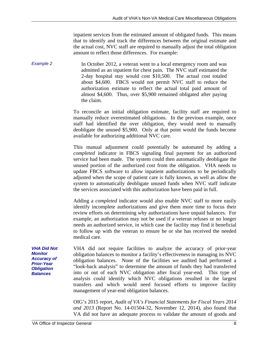inpatient services from the estimated amount of obligated funds. This means that to identify and track the differences between the original estimate and the actual cost, NVC staff are required to manually adjust the total obligation amount to reflect those differences. For example:

*Example 2*  In October 2012, a veteran went to a local emergency room and was admitted as an inpatient for chest pain. The NVC staff estimated the 2-day hospital stay would cost \$10,500. The actual cost totaled about \$4,600. FBCS would not permit NVC staff to reduce the authorization estimate to reflect the actual total paid amount of almost \$4,600. Thus, over \$5,900 remained obligated after paying the claim.

> To reconcile an initial obligation estimate, facility staff are required to manually reduce overestimated obligations. In the previous example, once staff had identified the over obligation, they would need to manually deobligate the unused \$5,900. Only at that point would the funds become available for authorizing additional NVC care.

> This manual adjustment could potentially be automated by adding a *completed* indicator in FBCS signaling final payment for an authorized service had been made. The system could then automatically deobligate the unused portion of the authorized cost from the obligation. VHA needs to update FBCS software to allow inpatient authorizations to be periodically adjusted when the scope of patient care is fully known, as well as allow the system to automatically deobligate unused funds when NVC staff indicate the services associated with this authorization have been paid in full.

> Adding a *completed* indicator would also enable NVC staff to more easily identify incomplete authorizations and give them more time to focus their review efforts on determining why authorizations have unpaid balances. For example, an authorization may not be used if a veteran refuses or no longer needs an authorized service, in which case the facility may find it beneficial to follow up with the veteran to ensure he or she has received the needed medical care.

*VHA Did Not*  VHA did not require facilities to analyze the accuracy of prior-year obligation balances to monitor a facility's effectiveness in managing its NVC obligation balances. None of the facilities we audited had performed a "look-back analysis" to determine the amount of funds they had transferred into or out of each NVC obligation after fiscal year-end. This type of analysis could identify which NVC obligations resulted in the largest transfers and which would need focused efforts to improve facility management of year-end obligation balances.

> OIG's 2015 report, *Audit of VA's Financial Statements for Fiscal Years 2014 and 2013* (Report No. 14-01504-32, November 12, 2014), also found that VA did not have an adequate process to validate the amount of goods and

*Monitor Accuracy of Prior-Year Obligation Balances*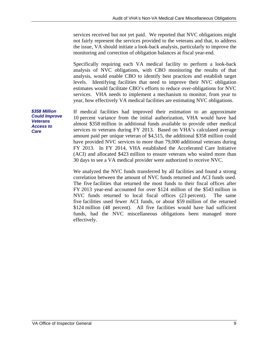services received but not yet paid. We reported that NVC obligations might not fairly represent the services provided to the veterans and that, to address the issue, VA should initiate a look-back analysis, particularly to improve the monitoring and correction of obligation balances at fiscal year-end.

Specifically requiring each VA medical facility to perform a look-back analysis of NVC obligations, with CBO monitoring the results of that analysis, would enable CBO to identify best practices and establish target levels. Identifying facilities that need to improve their NVC obligation estimates would facilitate CBO's efforts to reduce over-obligations for NVC services. VHA needs to implement a mechanism to monitor, from year to year, how effectively VA medical facilities are estimating NVC obligations.

*\$358 Million Could Improve Veterans Access to Care* 

If medical facilities had improved their estimation to an approximate 10 percent variance from the initial authorization, VHA would have had almost \$358 million in additional funds available to provide other medical services to veterans during FY 2013. Based on VHA's calculated average amount paid per unique veteran of \$4,515, the additional \$358 million could have provided NVC services to more than 79,000 additional veterans during FY 2013. In FY 2014, VHA established the Accelerated Care Initiative (ACI) and allocated \$423 million to ensure veterans who waited more than 30 days to see a VA medical provider were authorized to receive NVC.

We analyzed the NVC funds transferred by all facilities and found a strong correlation between the amount of NVC funds returned and ACI funds used. The five facilities that returned the most funds to their fiscal offices after FY 2013 year-end accounted for over \$124 million of the \$543 million in NVC funds returned to local fiscal offices (23 percent). The same five facilities used fewer ACI funds, or about \$59 million of the returned \$124 million (48 percent). All five facilities would have had sufficient funds, had the NVC miscellaneous obligations been managed more effectively.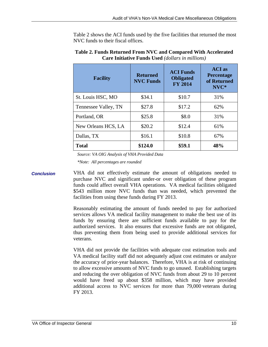Table 2 shows the ACI funds used by the five facilities that returned the most NVC funds to their fiscal offices.

| <b>Facility</b>      | <b>Returned</b><br><b>NVC Funds</b> | <b>ACI Funds</b><br><b>Obligated</b><br><b>FY 2014</b> | <b>ACI</b> as<br><b>Percentage</b><br>of Returned<br>NVC* |
|----------------------|-------------------------------------|--------------------------------------------------------|-----------------------------------------------------------|
| St. Louis HSC, MO    | \$34.1                              | \$10.7                                                 | 31%                                                       |
| Tennessee Valley, TN | \$27.8                              | \$17.2                                                 | 62%                                                       |
| Portland, OR         | \$25.8                              | \$8.0                                                  | 31%                                                       |
| New Orleans HCS, LA  | \$20.2                              | \$12.4                                                 | 61%                                                       |
| Dallas, TX           | \$16.1                              | \$10.8                                                 | 67%                                                       |
| <b>Total</b>         | \$124.0                             | \$59.1                                                 | 48%                                                       |

**Table 2. Funds Returned From NVC and Compared With Accelerated Care Initiative Funds Used** *(dollars in millions)*

 *Source: VA OIG Analysis of VHA Provided Data* 

 *\*Note: All percentages are rounded* 

*Conclusion*  VHA did not effectively estimate the amount of obligations needed to purchase NVC and significant under-or over obligation of these program funds could affect overall VHA operations. VA medical facilities obligated \$543 million more NVC funds than was needed, which prevented the facilities from using these funds during FY 2013.

> Reasonably estimating the amount of funds needed to pay for authorized services allows VA medical facility management to make the best use of its funds by ensuring there are sufficient funds available to pay for the authorized services. It also ensures that excessive funds are not obligated, thus preventing them from being used to provide additional services for veterans.

> VHA did not provide the facilities with adequate cost estimation tools and VA medical facility staff did not adequately adjust cost estimates or analyze the accuracy of prior-year balances. Therefore, VHA is at risk of continuing to allow excessive amounts of NVC funds to go unused. Establishing targets and reducing the over obligation of NVC funds from about 29 to 10 percent would have freed up about \$358 million, which may have provided additional access to NVC services for more than 79,000 veterans during FY 2013.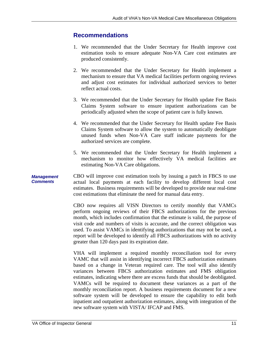### <span id="page-14-0"></span>**Recommendations**

- 1. We recommended that the Under Secretary for Health improve cost estimation tools to ensure adequate Non-VA Care cost estimates are produced consistently.
- 2. We recommended that the Under Secretary for Health implement a mechanism to ensure that VA medical facilities perform ongoing reviews and adjust cost estimates for individual authorized services to better reflect actual costs.
- 3. We recommended that the Under Secretary for Health update Fee Basis Claims System software to ensure inpatient authorizations can be periodically adjusted when the scope of patient care is fully known.
- 4. We recommended that the Under Secretary for Health update Fee Basis Claims System software to allow the system to automatically deobligate unused funds when Non-VA Care staff indicate payments for the authorized services are complete.
- 5. We recommended that the Under Secretary for Health implement a mechanism to monitor how effectively VA medical facilities are estimating Non-VA Care obligations.

#### *Management Comments*  CBO will improve cost estimation tools by issuing a patch in FBCS to use actual local payments at each facility to develop different local cost estimates. Business requirements will be developed to provide near real-time cost estimations that eliminate the need for manual data entry.

CBO now requires all VISN Directors to certify monthly that VAMCs perform ongoing reviews of their FBCS authorizations for the previous month, which includes confirmation that the estimate is valid, the purpose of visit code and numbers of visits is accurate, and the correct obligation was used. To assist VAMCs in identifying authorizations that may not be used, a report will be developed to identify all FBCS authorizations with no activity greater than 120 days past its expiration date.

VHA will implement a required monthly reconciliation tool for every VAMC that will assist in identifying incorrect FBCS authorization estimates based on a change in Veteran required care. The tool will also identify variances between FBCS authorization estimates and FMS obligation estimates, indicating where there are excess funds that should be deobligated. VAMCs will be required to document these variances as a part of the monthly reconciliation report. A business requirements document for a new software system will be developed to ensure the capability to edit both inpatient and outpatient authorization estimates, along with integration of the new software system with VISTA/ IFCAP and FMS.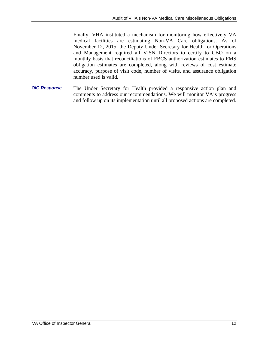Finally, VHA instituted a mechanism for monitoring how effectively VA medical facilities are estimating Non-VA Care obligations. As of November 12, 2015, the Deputy Under Secretary for Health for Operations and Management required all VISN Directors to certify to CBO on a monthly basis that reconciliations of FBCS authorization estimates to FMS obligation estimates are completed, along with reviews of cost estimate accuracy, purpose of visit code, number of visits, and assurance obligation number used is valid.

*OIG Response*  The Under Secretary for Health provided a responsive action plan and comments to address our recommendations. We will monitor VA's progress and follow up on its implementation until all proposed actions are completed.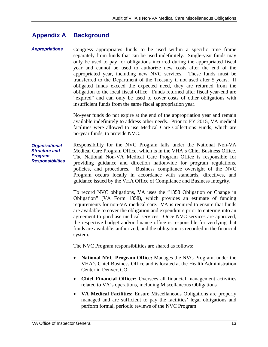#### <span id="page-16-0"></span>**Appendix A Background**

*Appropriations*  Congress appropriates funds to be used within a specific time frame separately from funds that can be used indefinitely. Single-year funds may only be used to pay for obligations incurred during the appropriated fiscal year and cannot be used to authorize new costs after the end of the appropriated year, including new NVC services. These funds must be transferred to the Department of the Treasury if not used after 5 years. If obligated funds exceed the expected need, they are returned from the obligation to the local fiscal office. Funds returned after fiscal year-end are "expired" and can only be used to cover costs of other obligations with insufficient funds from the same fiscal appropriation year.

> No-year funds do not expire at the end of the appropriation year and remain available indefinitely to address other needs. Prior to FY 2015, VA medical facilities were allowed to use Medical Care Collections Funds, which are no-year funds, to provide NVC.

*Organizational Structure and Program Responsibilities*  Responsibility for the NVC Program falls under the National Non-VA Medical Care Program Office, which is in the VHA's Chief Business Office. The National Non-VA Medical Care Program Office is responsible for providing guidance and direction nationwide for program regulations, policies, and procedures. Business compliance oversight of the NVC Program occurs locally in accordance with standards, directives, and guidance issued by the VHA Office of Compliance and Business Integrity.

> To record NVC obligations, VA uses the "1358 Obligation or Change in Obligation" (VA Form 1358), which provides an estimate of funding requirements for non-VA medical care. VA is required to ensure that funds are available to cover the obligation and expenditure prior to entering into an agreement to purchase medical services. Once NVC services are approved, the respective budget and/or finance office is responsible for verifying that funds are available, authorized, and the obligation is recorded in the financial system.

The NVC Program responsibilities are shared as follows:

- **National NVC Program Office:** Manages the NVC Program, under the VHA's Chief Business Office and is located at the Health Administration Center in Denver, CO
- **Chief Financial Officer:** Oversees all financial management activities related to VA's operations, including Miscellaneous Obligations
- perform formal, periodic reviews of the NVC Program **VA Medical Facilities:** Ensure Miscellaneous Obligations are properly managed and are sufficient to pay the facilities' legal obligations and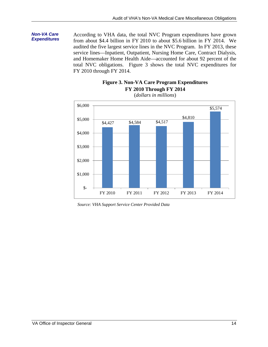# *Non-VA Care*

**Non-VA Care According to VHA data, the total NVC Program expenditures have grown Expenditures Expenditures https://www.fragmanusraphy.org/2010.pdf** from about \$4.4 billion in FY 2010 to about \$5.6 billion in FY 2014. We audited the five largest service lines in the NVC Program. In FY 2013, these service lines—Inpatient, Outpatient, Nursing Home Care, Contract Dialysis, and Homemaker Home Health Aide—accounted for about 92 percent of the total NVC obligations. Figure 3 shows the total NVC expenditures for FY 2010 through FY 2014.

### **Figure 3. Non-VA Care Program Expenditures FY 2010 Through FY 2014**



(*dollars in millions*)

*Source: VHA Support Service Center Provided Data*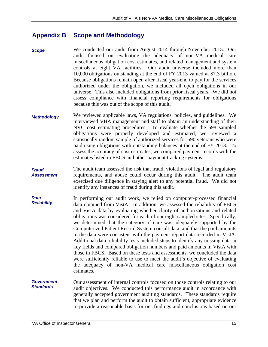#### <span id="page-18-0"></span> **Scope and Methodology Appendix B**

- *Scope*  We conducted our audit from August 2014 through November 2015. Our audit focused on evaluating the adequacy of non-VA medical care miscellaneous obligation cost estimates, and related management and system controls at eight VA facilities. Our audit universe included more than 10,000 obligations outstanding at the end of FY 2013 valued at \$7.3 billion. Because obligations remain open after fiscal year-end to pay for the services authorized under the obligation, we included all open obligations in our universe. This also included obligations from prior fiscal years. We did not assess compliance with financial reporting requirements for obligations because this was out of the scope of this audit.
- *Methodology*  We reviewed applicable laws, VA regulations, policies, and guidelines. We interviewed VHA management and staff to obtain an understanding of their NVC cost estimating procedures. To evaluate whether the 598 sampled obligations were properly developed and estimated, we reviewed a statistically random sample of authorized services for 590 veterans who were paid using obligations with outstanding balances at the end of FY 2013. To assess the accuracy of cost estimates, we compared payment records with the estimates listed in FBCS and other payment tracking systems.
- *Fraud Assessment*  The audit team assessed the risk that fraud, violations of legal and regulatory requirements, and abuse could occur during this audit. The audit team exercised due diligence in staying alert to any potential fraud. We did not identify any instances of fraud during this audit.
- *Data Reliability*  In performing our audit work, we relied on computer-processed financial data obtained from VistA. In addition, we assessed the reliability of FBCS and VistA data by evaluating whether clarity of authorizations and related obligations was considered for each of our eight sampled sites. Specifically, we determined that the category of care was adequately supported by the Computerized Patient Record System consult data, and that the paid amounts in the data were consistent with the payment report data recorded in VistA. Additional data reliability tests included steps to identify any missing data in key fields and compared obligation numbers and paid amounts in VistA with those in FBCS. Based on these tests and assessments, we concluded the data were sufficiently reliable to use to meet the audit's objective of evaluating the adequacy of non-VA medical care miscellaneous obligation cost estimates.
- *Government Standards*  Our assessment of internal controls focused on those controls relating to our audit objectives. We conducted this performance audit in accordance with generally accepted government auditing standards. These standards require that we plan and perform the audit to obtain sufficient, appropriate evidence to provide a reasonable basis for our findings and conclusions based on our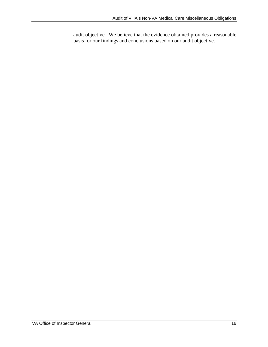audit objective. We believe that the evidence obtained provides a reasonable basis for our findings and conclusions based on our audit objective.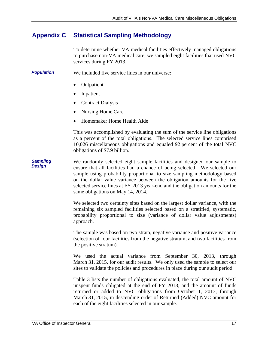#### <span id="page-20-0"></span>**Appendix C Statistical Sampling Methodology**

To determine whether VA medical facilities effectively managed obligations to purchase non-VA medical care, we sampled eight facilities that used NVC services during FY 2013.

*Population*  We included five service lines in our universe:

- Outpatient
- Inpatient
- Contract Dialysis
- Nursing Home Care
- Homemaker Home Health Aide

This was accomplished by evaluating the sum of the service line obligations as a percent of the total obligations. The selected service lines comprised 10,026 miscellaneous obligations and equaled 92 percent of the total NVC obligations of \$7.9 billion.

*Sampling Design*  We randomly selected eight sample facilities and designed our sample to ensure that all facilities had a chance of being selected. We selected our sample using probability proportional to size sampling methodology based on the dollar value variance between the obligation amounts for the five selected service lines at FY 2013 year-end and the obligation amounts for the same obligations on May 14, 2014.

> We selected two certainty sites based on the largest dollar variance, with the remaining six sampled facilities selected based on a stratified, systematic, probability proportional to size (variance of dollar value adjustments) approach.

> The sample was based on two strata, negative variance and positive variance (selection of four facilities from the negative stratum, and two facilities from the positive stratum).

> We used the actual variance from September 30, 2013, through March 31, 2015, for our audit results. We only used the sample to select our sites to validate the policies and procedures in place during our audit period.

> Table 3 lists the number of obligations evaluated, the total amount of NVC unspent funds obligated at the end of FY 2013, and the amount of funds returned or added to NVC obligations from October 1, 2013, through March 31, 2015, in descending order of Returned (Added) NVC amount for each of the eight facilities selected in our sample.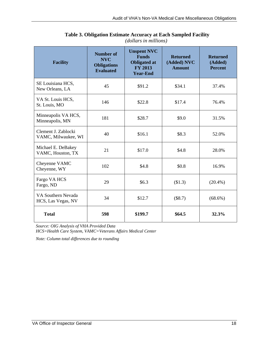| <b>Facility</b>                            | <b>Number of</b><br><b>NVC</b><br><b>Obligations</b><br><b>Evaluated</b> | <b>Unspent NVC</b><br><b>Funds</b><br><b>Obligated at</b><br><b>FY 2013</b><br><b>Year-End</b> | <b>Returned</b><br>(Added) NVC<br><b>Amount</b> | <b>Returned</b><br>(Added)<br><b>Percent</b> |
|--------------------------------------------|--------------------------------------------------------------------------|------------------------------------------------------------------------------------------------|-------------------------------------------------|----------------------------------------------|
| SE Louisiana HCS,<br>New Orleans, LA       | 45                                                                       | \$91.2                                                                                         | \$34.1                                          | 37.4%                                        |
| VA St. Louis HCS,<br>St. Louis, MO         | 146                                                                      | \$22.8                                                                                         | \$17.4                                          | 76.4%                                        |
| Minneapolis VA HCS,<br>Minneapolis, MN     | 181                                                                      | \$28.7                                                                                         | \$9.0                                           | 31.5%                                        |
| Clement J. Zablocki<br>VAMC, Milwaukee, WI | 40                                                                       | \$16.1                                                                                         | \$8.3                                           | 52.0%                                        |
| Michael E. DeBakey<br>VAMC, Houston, TX    | 21                                                                       | \$17.0                                                                                         | \$4.8                                           | 28.0%                                        |
| Cheyenne VAMC<br>Cheyenne, WY              | 102                                                                      | \$4.8                                                                                          | \$0.8                                           | 16.9%                                        |
| Fargo VA HCS<br>Fargo, ND                  | 29                                                                       | \$6.3\$                                                                                        | (\$1.3)                                         | $(20.4\%)$                                   |
| VA Southern Nevada<br>HCS, Las Vegas, NV   | 34                                                                       | \$12.7                                                                                         | (\$8.7)                                         | $(68.6\%)$                                   |
| <b>Total</b>                               | 598                                                                      | \$199.7                                                                                        | \$64.5                                          | 32.3%                                        |

**Table 3. Obligation Estimate Accuracy at Each Sampled Facility**  *(dollars in millions)* 

Source: OIG Analysis of VHA Provided Data

*HCS=Health Care System, VAMC=Veterans Affairs Medical Center* 

*Note: Column total differences due to rounding*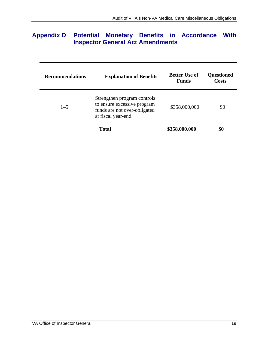# <span id="page-22-0"></span>**Appendix D Potential Monetary Benefits in Accordance With Inspector General Act Amendments**

| <b>Recommendations</b> | <b>Explanation of Benefits</b>                                                                                    | <b>Better Use of</b><br><b>Funds</b> | <b>Questioned</b><br>Costs |
|------------------------|-------------------------------------------------------------------------------------------------------------------|--------------------------------------|----------------------------|
| $1 - 5$                | Strengthen program controls<br>to ensure excessive program<br>funds are not over-obligated<br>at fiscal year-end. | \$358,000,000                        | \$0                        |
|                        | <b>Total</b>                                                                                                      | \$358,000,000                        | \$0                        |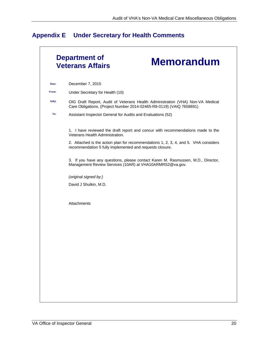# <span id="page-23-0"></span>**Appendix E Under Secretary for Health Comments**

|       | <b>Department of</b><br><b>Memorandum</b><br><b>Veterans Affairs</b>                                                                                   |
|-------|--------------------------------------------------------------------------------------------------------------------------------------------------------|
| Date: | December 7, 2015                                                                                                                                       |
| From: | Under Secretary for Health (10)                                                                                                                        |
| Subj: | OIG Draft Report, Audit of Veterans Health Administration (VHA) Non-VA Medical<br>Care Obligations, (Project Number 2014-02465-R8-0119) (VAIQ 7658691) |
| To:   | Assistant Inspector General for Audits and Evaluations (52)                                                                                            |
|       | 1. I have reviewed the draft report and concur with recommendations made to the<br>Veterans Health Administration.                                     |
|       | 2. Attached is the action plan for recommendations 1, 2, 3, 4, and 5. VHA considers<br>recommendation 5 fully implemented and requests closure.        |
|       | 3. If you have any questions, please contact Karen M. Rasmussen, M.D., Director,<br>Management Review Services (10AR) at VHA10ARMRS2@va.gov.           |
|       | (original signed by:)                                                                                                                                  |
|       | David J Shulkin, M.D.                                                                                                                                  |
|       |                                                                                                                                                        |
|       | Attachments                                                                                                                                            |
|       |                                                                                                                                                        |
|       |                                                                                                                                                        |
|       |                                                                                                                                                        |
|       |                                                                                                                                                        |
|       |                                                                                                                                                        |
|       |                                                                                                                                                        |
|       |                                                                                                                                                        |
|       |                                                                                                                                                        |
|       |                                                                                                                                                        |
|       |                                                                                                                                                        |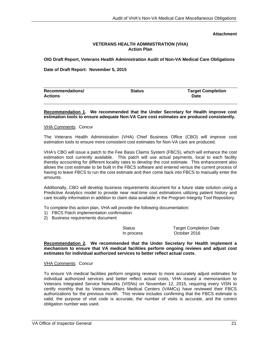**Attachment** 

#### **VETERANS HEALTH ADMINISTRATION (VHA) Action Plan**

#### **OIG Draft Report, Veterans Health Administration Audit of Non-VA Medical Care Obligations**

**Date of Draft Report: November 5, 2015** 

| <b>Recommendations/</b> | <b>Status</b> | <b>Target Completion</b> |  |
|-------------------------|---------------|--------------------------|--|
| <b>Actions</b>          |               | <b>Date</b>              |  |
|                         |               |                          |  |

#### **Recommendation 1. We recommended that the Under Secretary for Health improve cost estimation tools to ensure adequate Non-VA Care cost estimates are produced consistently.**

#### VHA Comments: Concur

The Veterans Health Administration (VHA) Chief Business Office (CBO) will improve cost estimation tools to ensure more consistent cost estimates for Non-VA care are produced.

VHA's CBO will issue a patch to the Fee Basis Claims System (FBCS), which will enhance the cost estimation tool currently available. This patch will use actual payments, local to each facility thereby accounting for different locality rates to develop the cost estimate. This enhancement also allows the cost estimate to be built in the FBCS software and entered versus the current process of having to leave FBCS to run the cost estimate and then come back into FBCS to manually enter the amounts.

Additionally, CBO will develop business requirements document for a future state solution using a Predictive Analytics model to provide near real-time cost estimations utilizing patient history and care locality information in addition to claim data available in the Program Integrity Tool Repository.

To complete this action plan, VHA will provide the following documentation:

- 1) FBCS Patch implementation confirmation
- 2) Business requirements document

Status Target Completion Date In process October 2016

**Recommendation 2. We recommended that the Under Secretary for Health implement a mechanism to ensure that VA medical facilities perform ongoing reviews and adjust cost estimates for individual authorized services to better reflect actual costs.** 

#### VHA Comments: Concur

To ensure VA medical facilities perform ongoing reviews to more accurately adjust estimates for individual authorized services and better reflect actual costs, VHA issued a memorandum to Veterans Integrated Service Networks (VISNs) on November 12, 2015, requiring every VISN to certify monthly that its Veterans Affairs Medical Centers (VAMCs) have reviewed their FBCS authorizations for the previous month. This review includes confirming that the FBCS estimate is valid, the purpose of visit code is accurate, the number of visits is accurate, and the correct obligation number was used.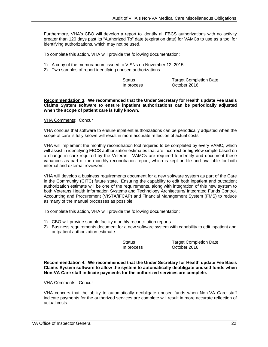Furthermore, VHA's CBO will develop a report to identify all FBCS authorizations with no activity greater than 120 days past its "Authorized To" date (expiration date) for VAMCs to use as a tool for identifying authorizations, which may not be used.

To complete this action, VHA will provide the following documentation:

- 1) A copy of the memorandum issued to VISNs on November 12, 2015
- 2) Two samples of report identifying unused authorizations

In process October 2016

Status Target Completion Date

**Recommendation 3. We recommended that the Under Secretary for Health update Fee Basis Claims System software to ensure inpatient authorizations can be periodically adjusted when the scope of patient care is fully known.** 

#### **VHA Comments: Concur**

VHA concurs that software to ensure inpatient authorizations can be periodically adjusted when the scope of care is fully known will result in more accurate reflection of actual costs.

VHA will implement the monthly reconciliation tool required to be completed by every VAMC, which will assist in identifying FBCS authorization estimates that are incorrect or high/low simple based on a change in care required by the Veteran. VAMCs are required to identify and document these variances as part of the monthly reconciliation report, which is kept on file and available for both internal and external reviewers.

VHA will develop a business requirements document for a new software system as part of the Care in the Community (CITC) future state. Ensuring the capability to edit both inpatient and outpatient authorization estimate will be one of the requirements, along with integration of this new system to both Veterans Health Information Systems and Technology Architecture/ Integrated Funds Control, Accounting and Procurement (VISTA/IFCAP) and Financial Management System (FMS) to reduce as many of the manual processes as possible.

To complete this action, VHA will provide the following documentation:

- 1) CBO will provide sample facility monthly reconciliation reports
- 2) Business requirements document for a new software system with capability to edit inpatient and outpatient authorization estimate

Status Target Completion Date In process October 2016

**Recommendation 4. We recommended that the Under Secretary for Health update Fee Basis Claims System software to allow the system to automatically deobligate unused funds when Non-VA Care staff indicate payments for the authorized services are complete.** 

#### **VHA Comments: Concur**

VHA concurs that the ability to automatically deobligate unused funds when Non-VA Care staff indicate payments for the authorized services are complete will result in more accurate reflection of actual costs.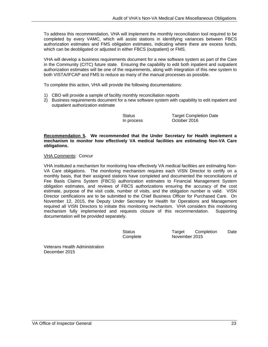To address this recommendation, VHA will implement the monthly reconciliation tool required to be completed by every VAMC, which will assist stations in identifying variances between FBCS authorization estimates and FMS obligation estimates, indicating where there are excess funds, which can be deobligated or adjusted in either FBCS (outpatient) or FMS.

 authorization estimates will be one of the requirements, along with integration of this new system to VHA will develop a business requirements document for a new software system as part of the Care in the Community (CITC) future state. Ensuring the capability to edit both inpatient and outpatient both VISTA/IFCAP and FMS to reduce as many of the manual processes as possible.

To complete this action, VHA will provide the following documentations:

- 1) CBO will provide a sample of facility monthly reconciliation reports
- 2) Business requirements document for a new software system with capability to edit inpatient and outpatient authorization estimate

Status Target Completion Date In process October 2016

**Recommendation 5. We recommended that the Under Secretary for Health implement a mechanism to monitor how effectively VA medical facilities are estimating Non-VA Care obligations.** 

#### **VHA Comments: Concur**

VHA instituted a mechanism for monitoring how effectively VA medical facilities are estimating Non-VA Care obligations. The monitoring mechanism requires each VISN Director to certify on a monthly basis, that their assigned stations have completed and documented the reconciliations of Fee Basis Claims System (FBCS) authorization estimates to Financial Management System obligation estimates, and reviews of FBCS authorizations ensuring the accuracy of the cost estimate, purpose of the visit code, number of visits, and the obligation number is valid. VISN Director certifications are to be submitted to the Chief Business Officer for Purchased Care. On November 12, 2015, the Deputy Under Secretary for Health for Operations and Management required all VISN Directors to initiate this monitoring mechanism. VHA considers this monitoring mechanism fully implemented and requests closure of this recommendation. Supporting documentation will be provided separately.

> **Status** Complete

Target Completion November 2015 Date

Veterans Health Administration December 2015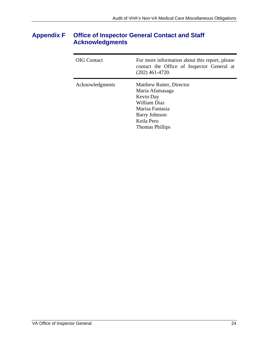# <span id="page-27-0"></span>**Appendix F Office of Inspector General Contact and Staff Acknowledgments**

| <b>OIG</b> Contact | For more information about this report, please<br>contact the Office of Inspector General at<br>$(202)$ 461-4720.                                    |
|--------------------|------------------------------------------------------------------------------------------------------------------------------------------------------|
| Acknowledgments    | Matthew Rutter, Director<br>Maria Afamasaga<br>Kevin Day<br>William Diaz<br>Marisa Fantasia<br><b>Barry Johnson</b><br>Keila Pero<br>Thomas Phillips |